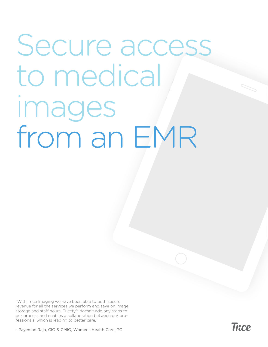## Secure access to medical images from an EMR

"With Trice Imaging we have been able to both secure revenue for all the services we perform and save on image storage and staff hours. Tricefy™ doesn't add any steps to our process and enables a collaboration between our professionals, which is leading to better care."

- Payeman Raja, CIO & CMIO, Womens Health Care, PC

**Trice**